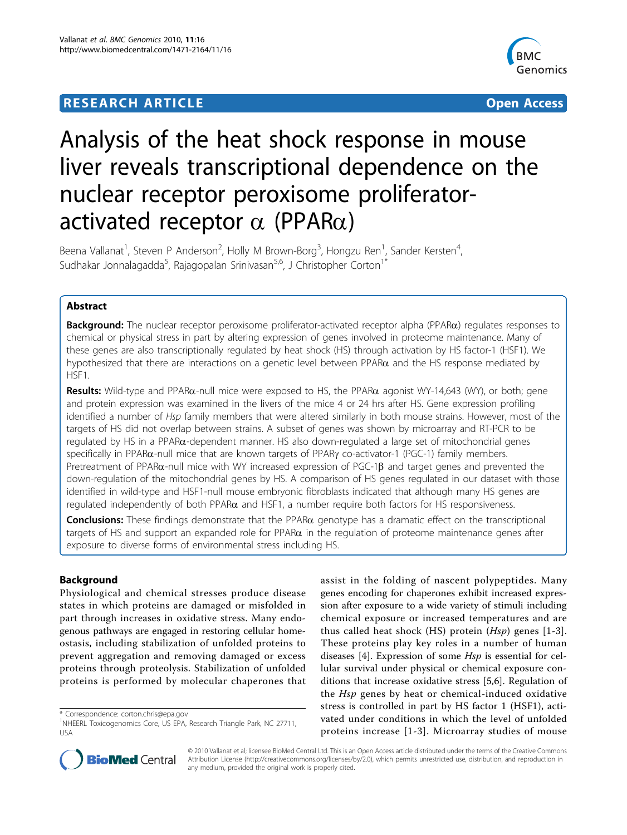## **RESEARCH ARTICLE Example 2014 CONSUMING ACCESS**



# Analysis of the heat shock response in mouse liver reveals transcriptional dependence on the nuclear receptor peroxisome proliferatoractivated receptor  $\alpha$  (PPAR $\alpha$ )

Beena Vallanat<sup>1</sup>, Steven P Anderson<sup>2</sup>, Holly M Brown-Borg<sup>3</sup>, Hongzu Ren<sup>1</sup>, Sander Kersten<sup>4</sup> , Sudhakar Jonnalagadda<sup>5</sup>, Rajagopalan Srinivasan<sup>5,6</sup>, J Christopher Corton<sup>1\*</sup>

## Abstract

Background: The nuclear receptor peroxisome proliferator-activated receptor alpha (PPAR $\alpha$ ) regulates responses to chemical or physical stress in part by altering expression of genes involved in proteome maintenance. Many of these genes are also transcriptionally regulated by heat shock (HS) through activation by HS factor-1 (HSF1). We hypothesized that there are interactions on a genetic level between PPAR $\alpha$  and the HS response mediated by HSF1.

Results: Wild-type and PPAR $\alpha$ -null mice were exposed to HS, the PPAR $\alpha$  agonist WY-14,643 (WY), or both; gene and protein expression was examined in the livers of the mice 4 or 24 hrs after HS. Gene expression profiling identified a number of Hsp family members that were altered similarly in both mouse strains. However, most of the targets of HS did not overlap between strains. A subset of genes was shown by microarray and RT-PCR to be  $r$ egulated by HS in a PPAR $\alpha$ -dependent manner. HS also down-regulated a large set of mitochondrial genes specifically in PPARa-null mice that are known targets of PPARy co-activator-1 (PGC-1) family members. Pretreatment of PPAR $\alpha$ -null mice with WY increased expression of PGC-1 $\beta$  and target genes and prevented the down-regulation of the mitochondrial genes by HS. A comparison of HS genes regulated in our dataset with those identified in wild-type and HSF1-null mouse embryonic fibroblasts indicated that although many HS genes are regulated independently of both PPAR $\alpha$  and HSF1, a number require both factors for HS responsiveness.

Conclusions: These findings demonstrate that the PPAR $\alpha$  genotype has a dramatic effect on the transcriptional targets of HS and support an expanded role for PPAR $\alpha$  in the regulation of proteome maintenance genes after exposure to diverse forms of environmental stress including HS.

## Background

Physiological and chemical stresses produce disease states in which proteins are damaged or misfolded in part through increases in oxidative stress. Many endogenous pathways are engaged in restoring cellular homeostasis, including stabilization of unfolded proteins to prevent aggregation and removing damaged or excess proteins through proteolysis. Stabilization of unfolded proteins is performed by molecular chaperones that

\* Correspondence: [corton.chris@epa.gov](mailto:corton.chris@epa.gov)

assist in the folding of nascent polypeptides. Many genes encoding for chaperones exhibit increased expression after exposure to a wide variety of stimuli including chemical exposure or increased temperatures and are thus called heat shock (HS) protein  $(Hsp)$  genes [[1](#page-13-0)-[3](#page-13-0)]. These proteins play key roles in a number of human diseases [[4\]](#page-13-0). Expression of some Hsp is essential for cellular survival under physical or chemical exposure conditions that increase oxidative stress [\[5,6](#page-13-0)]. Regulation of the Hsp genes by heat or chemical-induced oxidative stress is controlled in part by HS factor 1 (HSF1), activated under conditions in which the level of unfolded proteins increase [\[1-3\]](#page-13-0). Microarray studies of mouse



© 2010 Vallanat et al; licensee BioMed Central Ltd. This is an Open Access article distributed under the terms of the Creative Commons Attribution License [\(http://creativecommons.org/licenses/by/2.0](http://creativecommons.org/licenses/by/2.0)), which permits unrestricted use, distribution, and reproduction in any medium, provided the original work is properly cited.

<sup>&</sup>lt;sup>1</sup>NHEERL Toxicogenomics Core, US EPA, Research Triangle Park, NC 27711, USA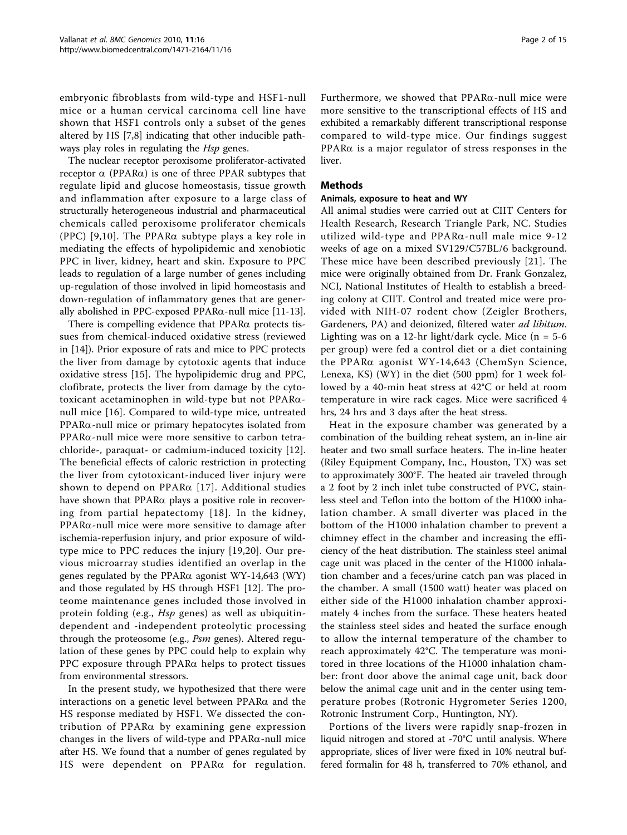embryonic fibroblasts from wild-type and HSF1-null mice or a human cervical carcinoma cell line have shown that HSF1 controls only a subset of the genes altered by HS [\[7,8](#page-13-0)] indicating that other inducible pathways play roles in regulating the *Hsp* genes.

The nuclear receptor peroxisome proliferator-activated receptor  $\alpha$  (PPAR $\alpha$ ) is one of three PPAR subtypes that regulate lipid and glucose homeostasis, tissue growth and inflammation after exposure to a large class of structurally heterogeneous industrial and pharmaceutical chemicals called peroxisome proliferator chemicals (PPC) [[9](#page-13-0),[10](#page-13-0)]. The PPAR $\alpha$  subtype plays a key role in mediating the effects of hypolipidemic and xenobiotic PPC in liver, kidney, heart and skin. Exposure to PPC leads to regulation of a large number of genes including up-regulation of those involved in lipid homeostasis and down-regulation of inflammatory genes that are generally abolished in PPC-exposed PPAR $\alpha$ -null mice [[11-13](#page-13-0)].

There is compelling evidence that  $PPAR\alpha$  protects tissues from chemical-induced oxidative stress (reviewed in [[14\]](#page-13-0)). Prior exposure of rats and mice to PPC protects the liver from damage by cytotoxic agents that induce oxidative stress [[15\]](#page-13-0). The hypolipidemic drug and PPC, clofibrate, protects the liver from damage by the cytotoxicant acetaminophen in wild-type but not PPARanull mice [\[16](#page-13-0)]. Compared to wild-type mice, untreated  $PPAR\alpha$ -null mice or primary hepatocytes isolated from PPARa-null mice were more sensitive to carbon tetrachloride-, paraquat- or cadmium-induced toxicity [[12](#page-13-0)]. The beneficial effects of caloric restriction in protecting the liver from cytotoxicant-induced liver injury were shown to depend on PPAR $\alpha$  [[17\]](#page-13-0). Additional studies have shown that  $PPAR\alpha$  plays a positive role in recovering from partial hepatectomy [[18](#page-13-0)]. In the kidney,  $PPAR\alpha$ -null mice were more sensitive to damage after ischemia-reperfusion injury, and prior exposure of wildtype mice to PPC reduces the injury [\[19,20](#page-13-0)]. Our previous microarray studies identified an overlap in the genes regulated by the PPAR $\alpha$  agonist WY-14,643 (WY) and those regulated by HS through HSF1 [[12\]](#page-13-0). The proteome maintenance genes included those involved in protein folding (e.g., *Hsp* genes) as well as ubiquitindependent and -independent proteolytic processing through the proteosome (e.g., *Psm* genes). Altered regulation of these genes by PPC could help to explain why PPC exposure through  $PPAR\alpha$  helps to protect tissues from environmental stressors.

In the present study, we hypothesized that there were interactions on a genetic level between  $PPAR\alpha$  and the HS response mediated by HSF1. We dissected the contribution of PPARa by examining gene expression changes in the livers of wild-type and  $PPAR\alpha$ -null mice after HS. We found that a number of genes regulated by HS were dependent on PPARa for regulation.

Furthermore, we showed that  $PPAR\alpha$ -null mice were more sensitive to the transcriptional effects of HS and exhibited a remarkably different transcriptional response compared to wild-type mice. Our findings suggest  $PPAR\alpha$  is a major regulator of stress responses in the liver.

#### Methods

#### Animals, exposure to heat and WY

All animal studies were carried out at CIIT Centers for Health Research, Research Triangle Park, NC. Studies utilized wild-type and  $PPAR\alpha$ -null male mice 9-12 weeks of age on a mixed SV129/C57BL/6 background. These mice have been described previously [[21](#page-13-0)]. The mice were originally obtained from Dr. Frank Gonzalez, NCI, National Institutes of Health to establish a breeding colony at CIIT. Control and treated mice were provided with NIH-07 rodent chow (Zeigler Brothers, Gardeners, PA) and deionized, filtered water ad libitum. Lighting was on a 12-hr light/dark cycle. Mice  $(n = 5-6)$ per group) were fed a control diet or a diet containing the PPARa agonist WY-14,643 (ChemSyn Science, Lenexa, KS) (WY) in the diet (500 ppm) for 1 week followed by a 40-min heat stress at 42°C or held at room temperature in wire rack cages. Mice were sacrificed 4 hrs, 24 hrs and 3 days after the heat stress.

Heat in the exposure chamber was generated by a combination of the building reheat system, an in-line air heater and two small surface heaters. The in-line heater (Riley Equipment Company, Inc., Houston, TX) was set to approximately 300°F. The heated air traveled through a 2 foot by 2 inch inlet tube constructed of PVC, stainless steel and Teflon into the bottom of the H1000 inhalation chamber. A small diverter was placed in the bottom of the H1000 inhalation chamber to prevent a chimney effect in the chamber and increasing the efficiency of the heat distribution. The stainless steel animal cage unit was placed in the center of the H1000 inhalation chamber and a feces/urine catch pan was placed in the chamber. A small (1500 watt) heater was placed on either side of the H1000 inhalation chamber approximately 4 inches from the surface. These heaters heated the stainless steel sides and heated the surface enough to allow the internal temperature of the chamber to reach approximately 42°C. The temperature was monitored in three locations of the H1000 inhalation chamber: front door above the animal cage unit, back door below the animal cage unit and in the center using temperature probes (Rotronic Hygrometer Series 1200, Rotronic Instrument Corp., Huntington, NY).

Portions of the livers were rapidly snap-frozen in liquid nitrogen and stored at -70°C until analysis. Where appropriate, slices of liver were fixed in 10% neutral buffered formalin for 48 h, transferred to 70% ethanol, and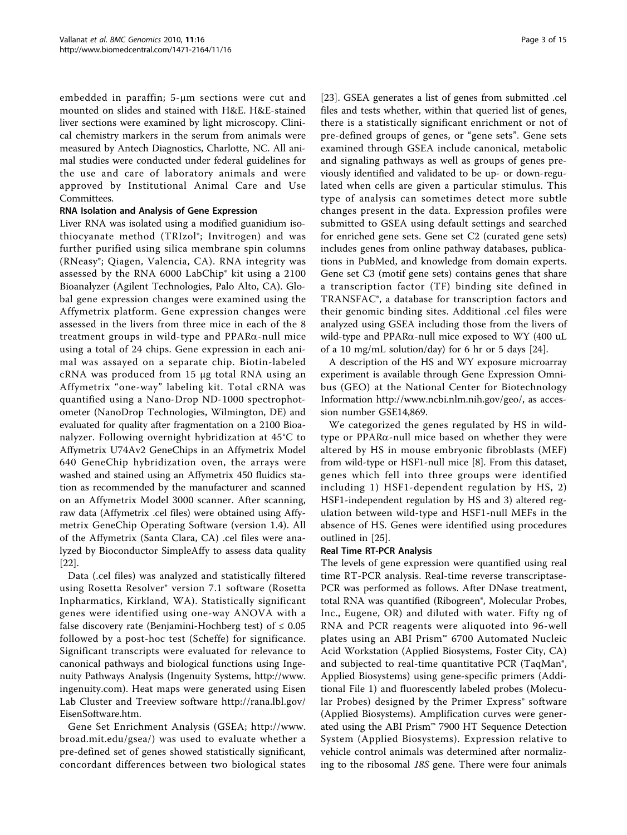embedded in paraffin; 5-μm sections were cut and mounted on slides and stained with H&E. H&E-stained liver sections were examined by light microscopy. Clinical chemistry markers in the serum from animals were measured by Antech Diagnostics, Charlotte, NC. All animal studies were conducted under federal guidelines for the use and care of laboratory animals and were approved by Institutional Animal Care and Use Committees.

#### RNA Isolation and Analysis of Gene Expression

Liver RNA was isolated using a modified guanidium isothiocyanate method (TRIzol®; Invitrogen) and was further purified using silica membrane spin columns (RNeasy®; Qiagen, Valencia, CA). RNA integrity was assessed by the RNA 6000 LabChip® kit using a 2100 Bioanalyzer (Agilent Technologies, Palo Alto, CA). Global gene expression changes were examined using the Affymetrix platform. Gene expression changes were assessed in the livers from three mice in each of the 8 treatment groups in wild-type and  $PPAR\alpha$ -null mice using a total of 24 chips. Gene expression in each animal was assayed on a separate chip. Biotin-labeled cRNA was produced from 15 μg total RNA using an Affymetrix "one-way" labeling kit. Total cRNA was quantified using a Nano-Drop ND-1000 spectrophotometer (NanoDrop Technologies, Wilmington, DE) and evaluated for quality after fragmentation on a 2100 Bioanalyzer. Following overnight hybridization at 45°C to Affymetrix U74Av2 GeneChips in an Affymetrix Model 640 GeneChip hybridization oven, the arrays were washed and stained using an Affymetrix 450 fluidics station as recommended by the manufacturer and scanned on an Affymetrix Model 3000 scanner. After scanning, raw data (Affymetrix .cel files) were obtained using Affymetrix GeneChip Operating Software (version 1.4). All of the Affymetrix (Santa Clara, CA) .cel files were analyzed by Bioconductor SimpleAffy to assess data quality [[22\]](#page-13-0).

Data (.cel files) was analyzed and statistically filtered using Rosetta Resolver® version 7.1 software (Rosetta Inpharmatics, Kirkland, WA). Statistically significant genes were identified using one-way ANOVA with a false discovery rate (Benjamini-Hochberg test) of  $\leq 0.05$ followed by a post-hoc test (Scheffe) for significance. Significant transcripts were evaluated for relevance to canonical pathways and biological functions using Ingenuity Pathways Analysis (Ingenuity Systems, [http://www.](http://www.ingenuity.com) [ingenuity.com](http://www.ingenuity.com)). Heat maps were generated using Eisen Lab Cluster and Treeview software [http://rana.lbl.gov/](http://rana.lbl.gov/EisenSoftware.htm) [EisenSoftware.htm](http://rana.lbl.gov/EisenSoftware.htm).

Gene Set Enrichment Analysis (GSEA; [http://www.](http://www.broad.mit.edu/gsea/) [broad.mit.edu/gsea/](http://www.broad.mit.edu/gsea/)) was used to evaluate whether a pre-defined set of genes showed statistically significant, concordant differences between two biological states

[[23\]](#page-13-0). GSEA generates a list of genes from submitted .cel files and tests whether, within that queried list of genes, there is a statistically significant enrichment or not of pre-defined groups of genes, or "gene sets". Gene sets examined through GSEA include canonical, metabolic and signaling pathways as well as groups of genes previously identified and validated to be up- or down-regulated when cells are given a particular stimulus. This type of analysis can sometimes detect more subtle changes present in the data. Expression profiles were submitted to GSEA using default settings and searched for enriched gene sets. Gene set C2 (curated gene sets) includes genes from online pathway databases, publications in PubMed, and knowledge from domain experts. Gene set C3 (motif gene sets) contains genes that share a transcription factor (TF) binding site defined in TRANSFAC®, a database for transcription factors and their genomic binding sites. Additional .cel files were analyzed using GSEA including those from the livers of wild-type and PPARa-null mice exposed to WY (400 uL of a 10 mg/mL solution/day) for 6 hr or 5 days [[24\]](#page-13-0).

A description of the HS and WY exposure microarray experiment is available through Gene Expression Omnibus (GEO) at the National Center for Biotechnology Information<http://www.ncbi.nlm.nih.gov/geo/>, as accession number GSE14,869.

We categorized the genes regulated by HS in wildtype or PPARa-null mice based on whether they were altered by HS in mouse embryonic fibroblasts (MEF) from wild-type or HSF1-null mice [[8](#page-13-0)]. From this dataset, genes which fell into three groups were identified including 1) HSF1-dependent regulation by HS, 2) HSF1-independent regulation by HS and 3) altered regulation between wild-type and HSF1-null MEFs in the absence of HS. Genes were identified using procedures outlined in [[25\]](#page-13-0).

#### Real Time RT-PCR Analysis

The levels of gene expression were quantified using real time RT-PCR analysis. Real-time reverse transcriptase-PCR was performed as follows. After DNase treatment, total RNA was quantified (Ribogreen®, Molecular Probes, Inc., Eugene, OR) and diluted with water. Fifty ng of RNA and PCR reagents were aliquoted into 96-well plates using an ABI Prism<sup>™</sup> 6700 Automated Nucleic Acid Workstation (Applied Biosystems, Foster City, CA) and subjected to real-time quantitative PCR (TaqMan®, Applied Biosystems) using gene-specific primers (Additional File [1](#page-12-0)) and fluorescently labeled probes (Molecular Probes) designed by the Primer Express® software (Applied Biosystems). Amplification curves were generated using the ABI Prism™ 7900 HT Sequence Detection System (Applied Biosystems). Expression relative to vehicle control animals was determined after normalizing to the ribosomal 18S gene. There were four animals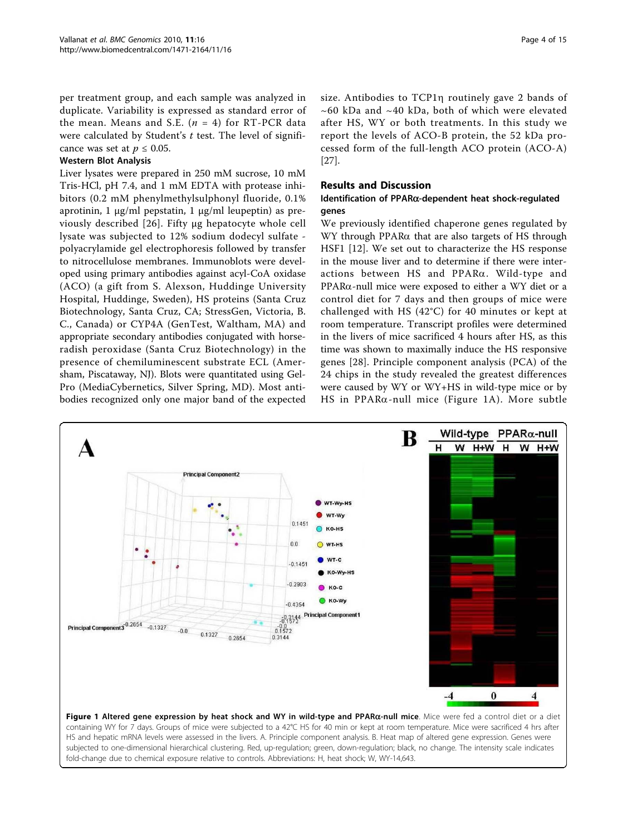<span id="page-3-0"></span>per treatment group, and each sample was analyzed in duplicate. Variability is expressed as standard error of the mean. Means and S.E.  $(n = 4)$  for RT-PCR data were calculated by Student's  $t$  test. The level of significance was set at  $p \leq 0.05$ .

#### Western Blot Analysis

Liver lysates were prepared in 250 mM sucrose, 10 mM Tris-HCl, pH 7.4, and 1 mM EDTA with protease inhibitors (0.2 mM phenylmethylsulphonyl fluoride, 0.1% aprotinin, 1 μg/ml pepstatin, 1 μg/ml leupeptin) as previously described [[26](#page-13-0)]. Fifty μg hepatocyte whole cell lysate was subjected to 12% sodium dodecyl sulfate polyacrylamide gel electrophoresis followed by transfer to nitrocellulose membranes. Immunoblots were developed using primary antibodies against acyl-CoA oxidase (ACO) (a gift from S. Alexson, Huddinge University Hospital, Huddinge, Sweden), HS proteins (Santa Cruz Biotechnology, Santa Cruz, CA; StressGen, Victoria, B. C., Canada) or CYP4A (GenTest, Waltham, MA) and appropriate secondary antibodies conjugated with horseradish peroxidase (Santa Cruz Biotechnology) in the presence of chemiluminescent substrate ECL (Amersham, Piscataway, NJ). Blots were quantitated using Gel-Pro (MediaCybernetics, Silver Spring, MD). Most antibodies recognized only one major band of the expected

size. Antibodies to TCP1n routinely gave 2 bands of  $\sim$  60 kDa and  $\sim$  40 kDa, both of which were elevated after HS, WY or both treatments. In this study we report the levels of ACO-B protein, the 52 kDa processed form of the full-length ACO protein (ACO-A) [[27\]](#page-13-0).

#### Results and Discussion

## Identification of PPARa-dependent heat shock-regulated genes

We previously identified chaperone genes regulated by WY through PPARa that are also targets of HS through HSF1 [\[12](#page-13-0)]. We set out to characterize the HS response in the mouse liver and to determine if there were interactions between HS and  $PPAR\alpha$ . Wild-type and  $PPAR\alpha$ -null mice were exposed to either a WY diet or a control diet for 7 days and then groups of mice were challenged with HS (42°C) for 40 minutes or kept at room temperature. Transcript profiles were determined in the livers of mice sacrificed 4 hours after HS, as this time was shown to maximally induce the HS responsive genes [[28](#page-13-0)]. Principle component analysis (PCA) of the 24 chips in the study revealed the greatest differences were caused by WY or WY+HS in wild-type mice or by HS in PPAR $\alpha$ -null mice (Figure 1A). More subtle



HS and hepatic mRNA levels were assessed in the livers. A. Principle component analysis. B. Heat map of altered gene expression. Genes were subjected to one-dimensional hierarchical clustering. Red, up-regulation; green, down-regulation; black, no change. The intensity scale indicates fold-change due to chemical exposure relative to controls. Abbreviations: H, heat shock; W, WY-14,643.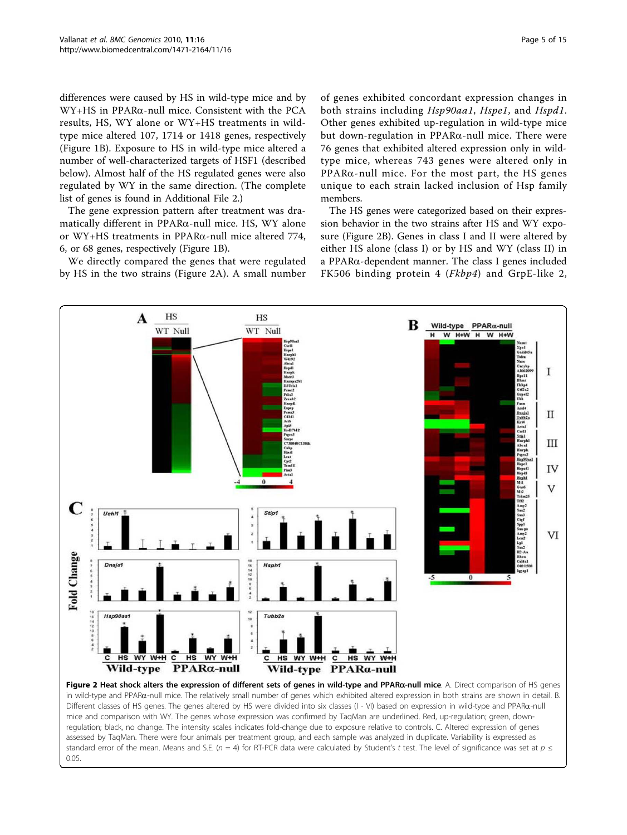<span id="page-4-0"></span>differences were caused by HS in wild-type mice and by WY+HS in PPARa-null mice. Consistent with the PCA results, HS, WY alone or WY+HS treatments in wildtype mice altered 107, 1714 or 1418 genes, respectively (Figure [1B](#page-3-0)). Exposure to HS in wild-type mice altered a number of well-characterized targets of HSF1 (described below). Almost half of the HS regulated genes were also regulated by WY in the same direction. (The complete list of genes is found in Additional File [2.](#page-12-0))

The gene expression pattern after treatment was dramatically different in  $PPAR\alpha$ -null mice. HS, WY alone or WY+HS treatments in PPARa-null mice altered 774, 6, or 68 genes, respectively (Figure [1B](#page-3-0)).

We directly compared the genes that were regulated by HS in the two strains (Figure 2A). A small number

of genes exhibited concordant expression changes in both strains including Hsp90aa1, Hspe1, and Hspd1. Other genes exhibited up-regulation in wild-type mice but down-regulation in  $PPAR\alpha$ -null mice. There were 76 genes that exhibited altered expression only in wildtype mice, whereas 743 genes were altered only in  $PPAR\alpha$ -null mice. For the most part, the HS genes unique to each strain lacked inclusion of Hsp family members.

The HS genes were categorized based on their expression behavior in the two strains after HS and WY exposure (Figure 2B). Genes in class I and II were altered by either HS alone (class I) or by HS and WY (class II) in a PPARa-dependent manner. The class I genes included FK506 binding protein 4 (Fkbp4) and GrpE-like 2,



in wild-type and PPARa-null mice. The relatively small number of genes which exhibited altered expression in both strains are shown in detail. B. Different classes of HS genes. The genes altered by HS were divided into six classes (I - VI) based on expression in wild-type and PPARa-null mice and comparison with WY. The genes whose expression was confirmed by TaqMan are underlined. Red, up-regulation; green, downregulation; black, no change. The intensity scales indicates fold-change due to exposure relative to controls. C. Altered expression of genes assessed by TaqMan. There were four animals per treatment group, and each sample was analyzed in duplicate. Variability is expressed as standard error of the mean. Means and S.E. (n = 4) for RT-PCR data were calculated by Student's t test. The level of significance was set at  $p \le$ 0.05.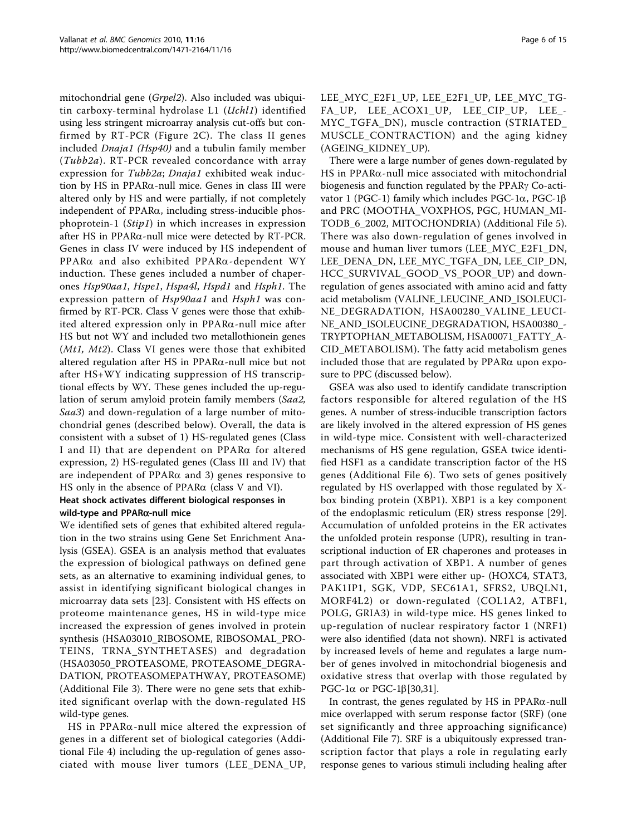mitochondrial gene (Grpel2). Also included was ubiquitin carboxy-terminal hydrolase L1 (Uchl1) identified using less stringent microarray analysis cut-offs but confirmed by RT-PCR (Figure [2C](#page-4-0)). The class II genes included *Dnaja1 (Hsp40)* and a tubulin family member (Tubb2a). RT-PCR revealed concordance with array expression for Tubb2a; Dnaja1 exhibited weak induction by HS in PPAR $\alpha$ -null mice. Genes in class III were altered only by HS and were partially, if not completely independent of  $PPAR\alpha$ , including stress-inducible phosphoprotein-1 (Stip1) in which increases in expression after HS in PPAR $\alpha$ -null mice were detected by RT-PCR. Genes in class IV were induced by HS independent of PPAR $\alpha$  and also exhibited PPAR $\alpha$ -dependent WY induction. These genes included a number of chaperones Hsp90aa1, Hspe1, Hspa4l, Hspd1 and Hsph1. The expression pattern of Hsp90aa1 and Hsph1 was confirmed by RT-PCR. Class V genes were those that exhibited altered expression only in PPARa-null mice after HS but not WY and included two metallothionein genes (Mt1, Mt2). Class VI genes were those that exhibited altered regulation after HS in  $PPAR\alpha$ -null mice but not after HS+WY indicating suppression of HS transcriptional effects by WY. These genes included the up-regulation of serum amyloid protein family members (Saa2, Saa3) and down-regulation of a large number of mitochondrial genes (described below). Overall, the data is consistent with a subset of 1) HS-regulated genes (Class I and II) that are dependent on PPARa for altered expression, 2) HS-regulated genes (Class III and IV) that are independent of  $PPAR\alpha$  and 3) genes responsive to HS only in the absence of  $PPAR\alpha$  (class V and VI).

## Heat shock activates different biological responses in wild-type and PPARa-null mice

We identified sets of genes that exhibited altered regulation in the two strains using Gene Set Enrichment Analysis (GSEA). GSEA is an analysis method that evaluates the expression of biological pathways on defined gene sets, as an alternative to examining individual genes, to assist in identifying significant biological changes in microarray data sets [\[23](#page-13-0)]. Consistent with HS effects on proteome maintenance genes, HS in wild-type mice increased the expression of genes involved in protein synthesis (HSA03010\_RIBOSOME, RIBOSOMAL\_PRO-TEINS, TRNA\_SYNTHETASES) and degradation (HSA03050\_PROTEASOME, PROTEASOME\_DEGRA-DATION, PROTEASOMEPATHWAY, PROTEASOME) (Additional File [3](#page-12-0)). There were no gene sets that exhibited significant overlap with the down-regulated HS wild-type genes.

HS in PPAR $\alpha$ -null mice altered the expression of genes in a different set of biological categories (Additional File [4\)](#page-12-0) including the up-regulation of genes associated with mouse liver tumors (LEE\_DENA\_UP, LEE\_MYC\_E2F1\_UP, LEE\_E2F1\_UP, LEE\_MYC\_TG-FA\_UP, LEE\_ACOX1\_UP, LEE\_CIP\_UP, LEE\_- MYC\_TGFA\_DN), muscle contraction (STRIATED\_ MUSCLE\_CONTRACTION) and the aging kidney (AGEING\_KIDNEY\_UP).

There were a large number of genes down-regulated by HS in PPAR $\alpha$ -null mice associated with mitochondrial biogenesis and function regulated by the PPAR<sub>Y</sub> Co-activator 1 (PGC-1) family which includes PGC-1 $\alpha$ , PGC-1 $\beta$ and PRC (MOOTHA\_VOXPHOS, PGC, HUMAN\_MI-TODB\_6\_2002, MITOCHONDRIA) (Additional File [5](#page-12-0)). There was also down-regulation of genes involved in mouse and human liver tumors (LEE\_MYC\_E2F1\_DN, LEE\_DENA\_DN, LEE\_MYC\_TGFA\_DN, LEE\_CIP\_DN, HCC\_SURVIVAL\_GOOD\_VS\_POOR\_UP) and downregulation of genes associated with amino acid and fatty acid metabolism (VALINE\_LEUCINE\_AND\_ISOLEUCI-NE\_DEGRADATION, HSA00280\_VALINE\_LEUCI-NE\_AND\_ISOLEUCINE\_DEGRADATION, HSA00380\_- TRYPTOPHAN\_METABOLISM, HSA00071\_FATTY\_A-CID\_METABOLISM). The fatty acid metabolism genes included those that are regulated by  $PPAR\alpha$  upon exposure to PPC (discussed below).

GSEA was also used to identify candidate transcription factors responsible for altered regulation of the HS genes. A number of stress-inducible transcription factors are likely involved in the altered expression of HS genes in wild-type mice. Consistent with well-characterized mechanisms of HS gene regulation, GSEA twice identified HSF1 as a candidate transcription factor of the HS genes (Additional File [6](#page-12-0)). Two sets of genes positively regulated by HS overlapped with those regulated by Xbox binding protein (XBP1). XBP1 is a key component of the endoplasmic reticulum (ER) stress response [\[29](#page-13-0)]. Accumulation of unfolded proteins in the ER activates the unfolded protein response (UPR), resulting in transcriptional induction of ER chaperones and proteases in part through activation of XBP1. A number of genes associated with XBP1 were either up- (HOXC4, STAT3, PAK1IP1, SGK, VDP, SEC61A1, SFRS2, UBQLN1, MORF4L2) or down-regulated (COL1A2, ATBF1, POLG, GRIA3) in wild-type mice. HS genes linked to up-regulation of nuclear respiratory factor 1 (NRF1) were also identified (data not shown). NRF1 is activated by increased levels of heme and regulates a large number of genes involved in mitochondrial biogenesis and oxidative stress that overlap with those regulated by PGC-1 $\alpha$  or PGC-1 $\beta$ [\[30,31\]](#page-13-0).

In contrast, the genes regulated by HS in  $PPAR\alpha$ -null mice overlapped with serum response factor (SRF) (one set significantly and three approaching significance) (Additional File [7\)](#page-12-0). SRF is a ubiquitously expressed transcription factor that plays a role in regulating early response genes to various stimuli including healing after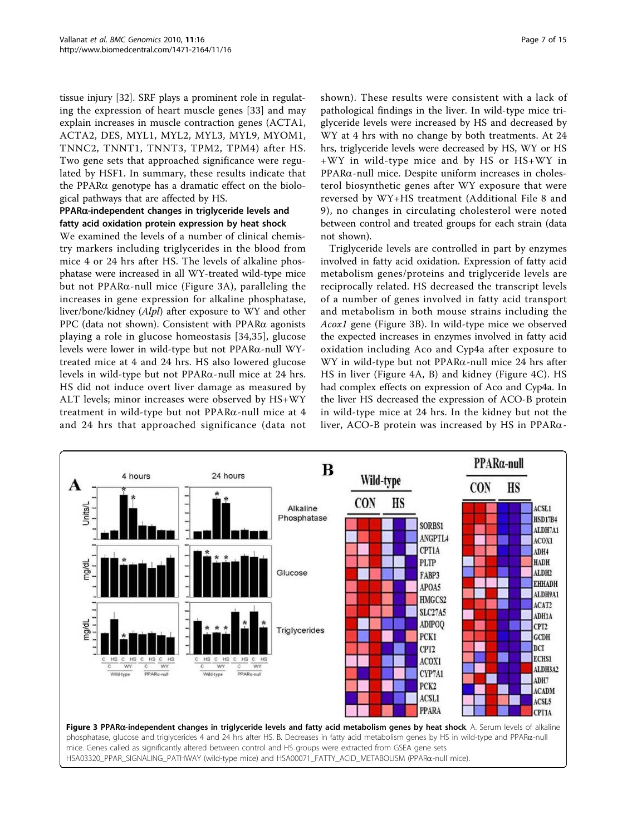tissue injury [\[32\]](#page-13-0). SRF plays a prominent role in regulating the expression of heart muscle genes [[33\]](#page-13-0) and may explain increases in muscle contraction genes (ACTA1, ACTA2, DES, MYL1, MYL2, MYL3, MYL9, MYOM1, TNNC2, TNNT1, TNNT3, TPM2, TPM4) after HS. Two gene sets that approached significance were regulated by HSF1. In summary, these results indicate that the PPAR $\alpha$  genotype has a dramatic effect on the biological pathways that are affected by HS.

#### PPARa-independent changes in triglyceride levels and fatty acid oxidation protein expression by heat shock

We examined the levels of a number of clinical chemistry markers including triglycerides in the blood from mice 4 or 24 hrs after HS. The levels of alkaline phosphatase were increased in all WY-treated wild-type mice but not  $PPAR\alpha$ -null mice (Figure 3A), paralleling the increases in gene expression for alkaline phosphatase, liver/bone/kidney (Alpl) after exposure to WY and other PPC (data not shown). Consistent with PPAR $\alpha$  agonists playing a role in glucose homeostasis [\[34,35](#page-13-0)], glucose levels were lower in wild-type but not PPARa-null WYtreated mice at 4 and 24 hrs. HS also lowered glucose levels in wild-type but not  $PPAR\alpha$ -null mice at 24 hrs. HS did not induce overt liver damage as measured by ALT levels; minor increases were observed by HS+WY treatment in wild-type but not  $PPAR\alpha$ -null mice at 4 and 24 hrs that approached significance (data not

shown). These results were consistent with a lack of pathological findings in the liver. In wild-type mice triglyceride levels were increased by HS and decreased by WY at 4 hrs with no change by both treatments. At 24 hrs, triglyceride levels were decreased by HS, WY or HS +WY in wild-type mice and by HS or HS+WY in PPARa-null mice. Despite uniform increases in cholesterol biosynthetic genes after WY exposure that were reversed by WY+HS treatment (Additional File [8](#page-12-0) and [9](#page-12-0)), no changes in circulating cholesterol were noted between control and treated groups for each strain (data not shown).

Triglyceride levels are controlled in part by enzymes involved in fatty acid oxidation. Expression of fatty acid metabolism genes/proteins and triglyceride levels are reciprocally related. HS decreased the transcript levels of a number of genes involved in fatty acid transport and metabolism in both mouse strains including the Acox1 gene (Figure 3B). In wild-type mice we observed the expected increases in enzymes involved in fatty acid oxidation including Aco and Cyp4a after exposure to WY in wild-type but not  $PPAR\alpha$ -null mice 24 hrs after HS in liver (Figure [4A, B](#page-7-0)) and kidney (Figure [4C\)](#page-7-0). HS had complex effects on expression of Aco and Cyp4a. In the liver HS decreased the expression of ACO-B protein in wild-type mice at 24 hrs. In the kidney but not the liver, ACO-B protein was increased by HS in PPAR $\alpha$ -

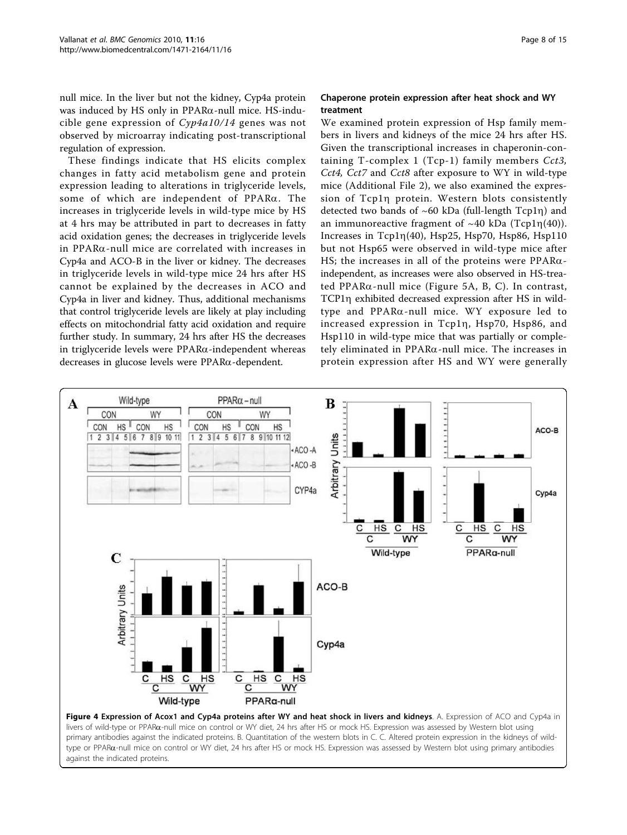<span id="page-7-0"></span>null mice. In the liver but not the kidney, Cyp4a protein was induced by HS only in  $PPAR\alpha$ -null mice. HS-inducible gene expression of Cyp4a10/14 genes was not observed by microarray indicating post-transcriptional regulation of expression.

These findings indicate that HS elicits complex changes in fatty acid metabolism gene and protein expression leading to alterations in triglyceride levels, some of which are independent of PPARa. The increases in triglyceride levels in wild-type mice by HS at 4 hrs may be attributed in part to decreases in fatty acid oxidation genes; the decreases in triglyceride levels in PPARa-null mice are correlated with increases in Cyp4a and ACO-B in the liver or kidney. The decreases in triglyceride levels in wild-type mice 24 hrs after HS cannot be explained by the decreases in ACO and Cyp4a in liver and kidney. Thus, additional mechanisms that control triglyceride levels are likely at play including effects on mitochondrial fatty acid oxidation and require further study. In summary, 24 hrs after HS the decreases in triglyceride levels were  $PPAR\alpha$ -independent whereas decreases in glucose levels were PPARa-dependent.

#### Chaperone protein expression after heat shock and WY treatment

We examined protein expression of Hsp family members in livers and kidneys of the mice 24 hrs after HS. Given the transcriptional increases in chaperonin-containing T-complex 1 (Tcp-1) family members  $Cct3$ , Cct4, Cct7 and Cct8 after exposure to WY in wild-type mice (Additional File [2](#page-12-0)), we also examined the expression of Tcp1h protein. Western blots consistently detected two bands of  $~60$  kDa (full-length Tcp1n) and an immunoreactive fragment of  $~40$  kDa (Tcp1 $\eta(40)$ ). Increases in  $Tcpln(40)$ , Hsp25, Hsp70, Hsp86, Hsp110 but not Hsp65 were observed in wild-type mice after HS; the increases in all of the proteins were  $PPAR\alpha$ independent, as increases were also observed in HS-treated PPARa-null mice (Figure [5A, B, C](#page-8-0)). In contrast, TCP1n exhibited decreased expression after HS in wildtype and PPARa-null mice. WY exposure led to increased expression in Tcp1h, Hsp70, Hsp86, and Hsp110 in wild-type mice that was partially or completely eliminated in  $PPAR\alpha$ -null mice. The increases in protein expression after HS and WY were generally



against the indicated proteins.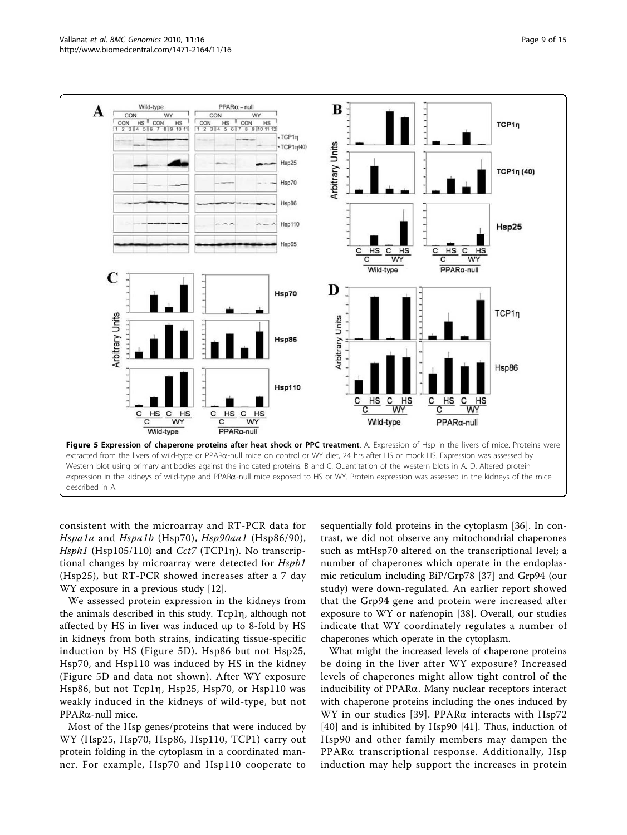<span id="page-8-0"></span>

consistent with the microarray and RT-PCR data for Hspa1a and Hspa1b (Hsp70), Hsp90aa1 (Hsp86/90), Hsph1 (Hsp105/110) and Cct7 (TCP1 $\eta$ ). No transcriptional changes by microarray were detected for Hspb1 (Hsp25), but RT-PCR showed increases after a 7 day WY exposure in a previous study [\[12](#page-13-0)].

We assessed protein expression in the kidneys from the animals described in this study. Tcp1n, although not affected by HS in liver was induced up to 8-fold by HS in kidneys from both strains, indicating tissue-specific induction by HS (Figure 5D). Hsp86 but not Hsp25, Hsp70, and Hsp110 was induced by HS in the kidney (Figure 5D and data not shown). After WY exposure Hsp86, but not Tcp1h, Hsp25, Hsp70, or Hsp110 was weakly induced in the kidneys of wild-type, but not PPARa-null mice.

Most of the Hsp genes/proteins that were induced by WY (Hsp25, Hsp70, Hsp86, Hsp110, TCP1) carry out protein folding in the cytoplasm in a coordinated manner. For example, Hsp70 and Hsp110 cooperate to sequentially fold proteins in the cytoplasm [\[36](#page-13-0)]. In contrast, we did not observe any mitochondrial chaperones such as mtHsp70 altered on the transcriptional level; a number of chaperones which operate in the endoplasmic reticulum including BiP/Grp78 [\[37](#page-13-0)] and Grp94 (our study) were down-regulated. An earlier report showed that the Grp94 gene and protein were increased after exposure to WY or nafenopin [\[38](#page-13-0)]. Overall, our studies indicate that WY coordinately regulates a number of chaperones which operate in the cytoplasm.

What might the increased levels of chaperone proteins be doing in the liver after WY exposure? Increased levels of chaperones might allow tight control of the inducibility of PPARa. Many nuclear receptors interact with chaperone proteins including the ones induced by WY in our studies [[39](#page-14-0)]. PPAR $\alpha$  interacts with Hsp72 [[40](#page-14-0)] and is inhibited by Hsp90 [[41\]](#page-14-0). Thus, induction of Hsp90 and other family members may dampen the PPARa transcriptional response. Additionally, Hsp induction may help support the increases in protein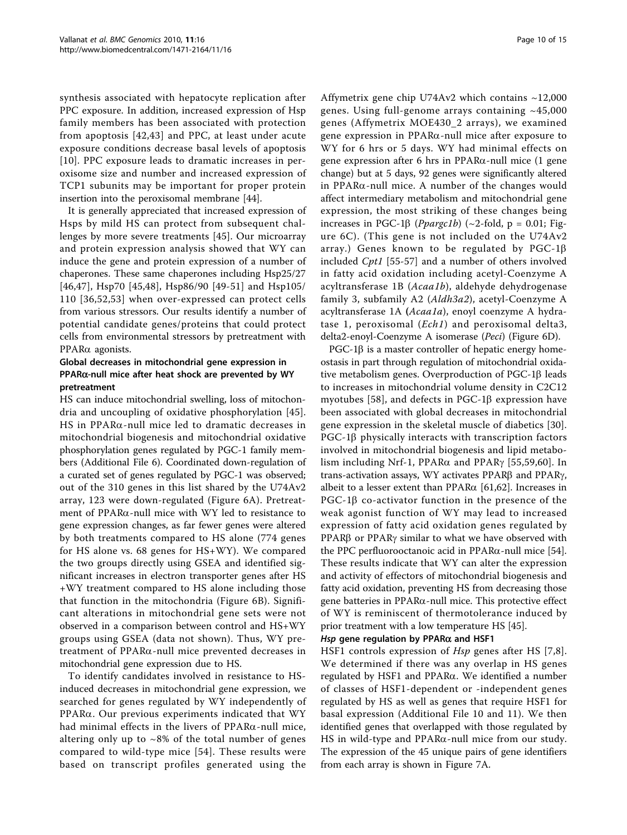synthesis associated with hepatocyte replication after PPC exposure. In addition, increased expression of Hsp family members has been associated with protection from apoptosis [[42,43\]](#page-14-0) and PPC, at least under acute exposure conditions decrease basal levels of apoptosis [[10](#page-13-0)]. PPC exposure leads to dramatic increases in peroxisome size and number and increased expression of TCP1 subunits may be important for proper protein insertion into the peroxisomal membrane [\[44\]](#page-14-0).

It is generally appreciated that increased expression of Hsps by mild HS can protect from subsequent challenges by more severe treatments [[45\]](#page-14-0). Our microarray and protein expression analysis showed that WY can induce the gene and protein expression of a number of chaperones. These same chaperones including Hsp25/27 [[46,47\]](#page-14-0), Hsp70 [[45,48](#page-14-0)], Hsp86/90 [[49](#page-14-0)-[51\]](#page-14-0) and Hsp105/ 110 [\[36,](#page-13-0)[52,53\]](#page-14-0) when over-expressed can protect cells from various stressors. Our results identify a number of potential candidate genes/proteins that could protect cells from environmental stressors by pretreatment with PPARa agonists.

#### Global decreases in mitochondrial gene expression in  $PPAR\alpha$ -null mice after heat shock are prevented by WY pretreatment

HS can induce mitochondrial swelling, loss of mitochondria and uncoupling of oxidative phosphorylation [[45](#page-14-0)]. HS in PPAR $\alpha$ -null mice led to dramatic decreases in mitochondrial biogenesis and mitochondrial oxidative phosphorylation genes regulated by PGC-1 family members (Additional File [6](#page-12-0)). Coordinated down-regulation of a curated set of genes regulated by PGC-1 was observed; out of the 310 genes in this list shared by the U74Av2 array, 123 were down-regulated (Figure [6A\)](#page-10-0). Pretreatment of PPARa-null mice with WY led to resistance to gene expression changes, as far fewer genes were altered by both treatments compared to HS alone (774 genes for HS alone vs. 68 genes for HS+WY). We compared the two groups directly using GSEA and identified significant increases in electron transporter genes after HS +WY treatment compared to HS alone including those that function in the mitochondria (Figure [6B\)](#page-10-0). Significant alterations in mitochondrial gene sets were not observed in a comparison between control and HS+WY groups using GSEA (data not shown). Thus, WY pretreatment of PPARa-null mice prevented decreases in mitochondrial gene expression due to HS.

To identify candidates involved in resistance to HSinduced decreases in mitochondrial gene expression, we searched for genes regulated by WY independently of  $PPAR\alpha$ . Our previous experiments indicated that WY had minimal effects in the livers of  $PPAR\alpha$ -null mice, altering only up to  $\sim 8\%$  of the total number of genes compared to wild-type mice [[54\]](#page-14-0). These results were based on transcript profiles generated using the

Affymetrix gene chip U74Av2 which contains ~12,000 genes. Using full-genome arrays containing  $~145,000$ genes (Affymetrix MOE430\_2 arrays), we examined gene expression in PPARa-null mice after exposure to WY for 6 hrs or 5 days. WY had minimal effects on gene expression after 6 hrs in PPAR $\alpha$ -null mice (1 gene change) but at 5 days, 92 genes were significantly altered in PPAR $\alpha$ -null mice. A number of the changes would affect intermediary metabolism and mitochondrial gene expression, the most striking of these changes being increases in PGC-1 $\beta$  (*Ppargc1b*) (~2-fold, p = 0.01; Figure [6C\)](#page-10-0). (This gene is not included on the U74Av2 array.) Genes known to be regulated by PGC-1 $\beta$ included Cpt1 [\[55](#page-14-0)-[57](#page-14-0)] and a number of others involved in fatty acid oxidation including acetyl-Coenzyme A acyltransferase 1B (Acaa1b), aldehyde dehydrogenase family 3, subfamily A2 (Aldh3a2), acetyl-Coenzyme A acyltransferase 1A (Acaa1a), enoyl coenzyme A hydratase 1, peroxisomal (Ech1) and peroxisomal delta3, delta2-enoyl-Coenzyme A isomerase (Peci) (Figure [6D](#page-10-0)).

 $PGC-1\beta$  is a master controller of hepatic energy homeostasis in part through regulation of mitochondrial oxidative metabolism genes. Overproduction of  $PGC-1\beta$  leads to increases in mitochondrial volume density in C2C12 myotubes [[58](#page-14-0)], and defects in  $PGC-1\beta$  expression have been associated with global decreases in mitochondrial gene expression in the skeletal muscle of diabetics [[30](#page-13-0)].  $PGC-1\beta$  physically interacts with transcription factors involved in mitochondrial biogenesis and lipid metabolism including Nrf-1, PPAR $\alpha$  and PPAR $\gamma$  [[55,59](#page-14-0),[60\]](#page-14-0). In trans-activation assays, WY activates PPAR $\beta$  and PPAR $\gamma$ , albeit to a lesser extent than PPAR $\alpha$  [[61,62\]](#page-14-0). Increases in PGC-1<sup>β</sup> co-activator function in the presence of the weak agonist function of WY may lead to increased expression of fatty acid oxidation genes regulated by PPAR $\beta$  or PPAR $\gamma$  similar to what we have observed with the PPC perfluorooctanoic acid in PPAR $\alpha$ -null mice [[54](#page-14-0)]. These results indicate that WY can alter the expression and activity of effectors of mitochondrial biogenesis and fatty acid oxidation, preventing HS from decreasing those gene batteries in  $PPAR\alpha$ -null mice. This protective effect of WY is reminiscent of thermotolerance induced by prior treatment with a low temperature HS [[45](#page-14-0)].

## Hsp gene regulation by PPAR $\alpha$  and HSF1

HSF1 controls expression of *Hsp* genes after HS [\[7,8](#page-13-0)]. We determined if there was any overlap in HS genes regulated by HSF1 and PPARa. We identified a number of classes of HSF1-dependent or -independent genes regulated by HS as well as genes that require HSF1 for basal expression (Additional File [10](#page-12-0) and [11](#page-12-0)). We then identified genes that overlapped with those regulated by HS in wild-type and  $PPAR\alpha$ -null mice from our study. The expression of the 45 unique pairs of gene identifiers from each array is shown in Figure [7A](#page-11-0).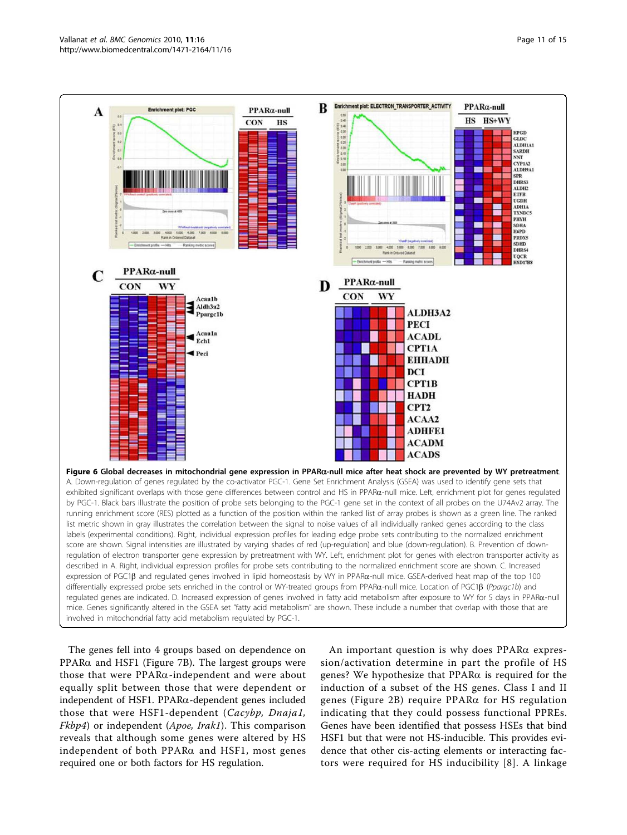<span id="page-10-0"></span>

The genes fell into 4 groups based on dependence on  $PPAR\alpha$  and HSF1 (Figure [7B\)](#page-11-0). The largest groups were those that were PPARa-independent and were about equally split between those that were dependent or independent of HSF1. PPARa-dependent genes included those that were HSF1-dependent (Cacybp, Dnaja1, *Fkbp4*) or independent (*Apoe, Irak1*). This comparison reveals that although some genes were altered by HS independent of both PPAR $\alpha$  and HSF1, most genes required one or both factors for HS regulation.

An important question is why does PPARa expression/activation determine in part the profile of HS genes? We hypothesize that PPARa is required for the induction of a subset of the HS genes. Class I and II genes (Figure [2B](#page-4-0)) require PPARa for HS regulation indicating that they could possess functional PPREs. Genes have been identified that possess HSEs that bind HSF1 but that were not HS-inducible. This provides evidence that other cis-acting elements or interacting factors were required for HS inducibility [[8\]](#page-13-0). A linkage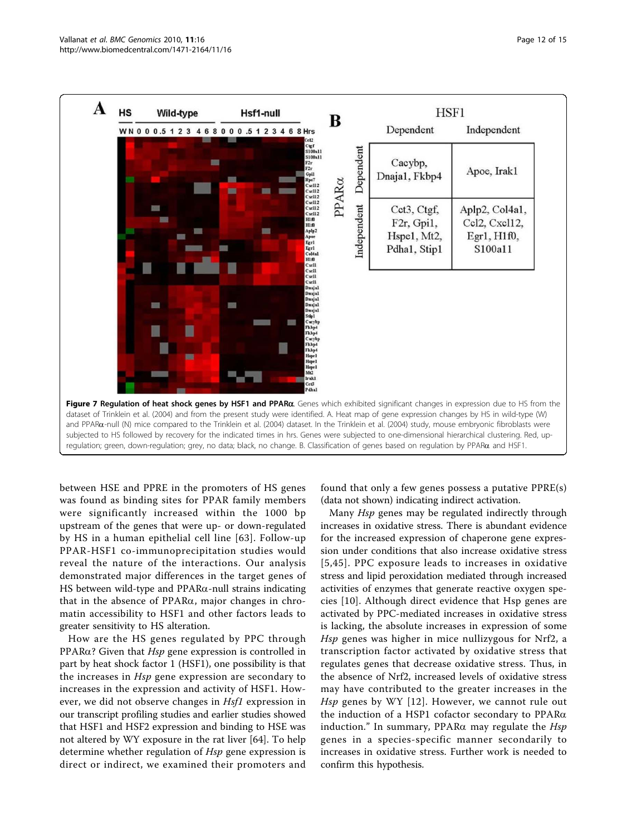<span id="page-11-0"></span>

between HSE and PPRE in the promoters of HS genes was found as binding sites for PPAR family members were significantly increased within the 1000 bp upstream of the genes that were up- or down-regulated by HS in a human epithelial cell line [[63](#page-14-0)]. Follow-up PPAR-HSF1 co-immunoprecipitation studies would reveal the nature of the interactions. Our analysis demonstrated major differences in the target genes of HS between wild-type and  $PPAR\alpha$ -null strains indicating that in the absence of PPARa, major changes in chromatin accessibility to HSF1 and other factors leads to greater sensitivity to HS alteration.

How are the HS genes regulated by PPC through PPAR $\alpha$ ? Given that *Hsp* gene expression is controlled in part by heat shock factor 1 (HSF1), one possibility is that the increases in Hsp gene expression are secondary to increases in the expression and activity of HSF1. However, we did not observe changes in *Hsf1* expression in our transcript profiling studies and earlier studies showed that HSF1 and HSF2 expression and binding to HSE was not altered by WY exposure in the rat liver [\[64](#page-14-0)]. To help determine whether regulation of Hsp gene expression is direct or indirect, we examined their promoters and found that only a few genes possess a putative PPRE(s) (data not shown) indicating indirect activation.

Many Hsp genes may be regulated indirectly through increases in oxidative stress. There is abundant evidence for the increased expression of chaperone gene expression under conditions that also increase oxidative stress [[5,](#page-13-0)[45\]](#page-14-0). PPC exposure leads to increases in oxidative stress and lipid peroxidation mediated through increased activities of enzymes that generate reactive oxygen species [\[10\]](#page-13-0). Although direct evidence that Hsp genes are activated by PPC-mediated increases in oxidative stress is lacking, the absolute increases in expression of some Hsp genes was higher in mice nullizygous for Nrf2, a transcription factor activated by oxidative stress that regulates genes that decrease oxidative stress. Thus, in the absence of Nrf2, increased levels of oxidative stress may have contributed to the greater increases in the Hsp genes by WY [[12\]](#page-13-0). However, we cannot rule out the induction of a HSP1 cofactor secondary to PPARa induction." In summary, PPAR $\alpha$  may regulate the Hsp genes in a species-specific manner secondarily to increases in oxidative stress. Further work is needed to confirm this hypothesis.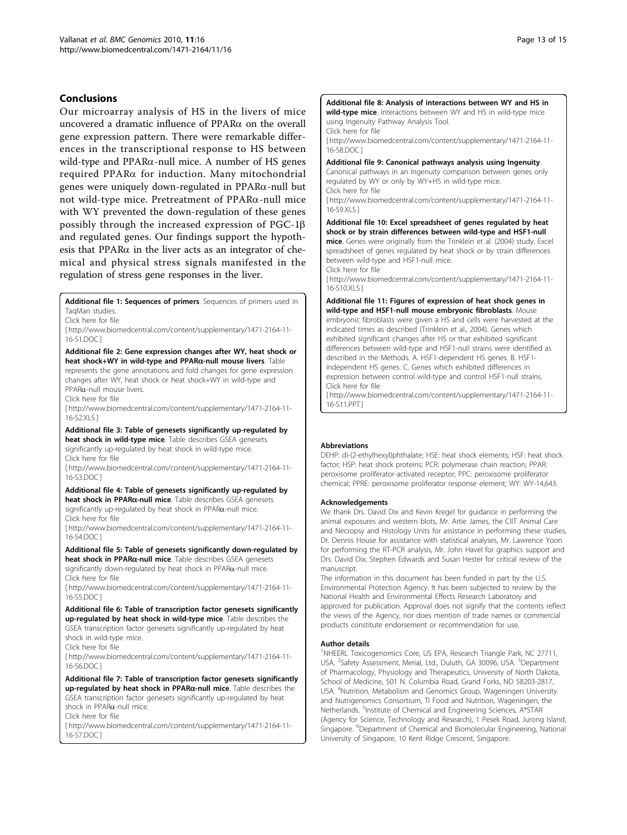#### <span id="page-12-0"></span>Conclusions

Our microarray analysis of HS in the livers of mice uncovered a dramatic influence of PPARa on the overall gene expression pattern. There were remarkable differences in the transcriptional response to HS between wild-type and PPARa-null mice. A number of HS genes required PPARa for induction. Many mitochondrial genes were uniquely down-regulated in PPARa-null but not wild-type mice. Pretreatment of PPARa-null mice with WY prevented the down-regulation of these genes possibly through the increased expression of PGC-1b and regulated genes. Our findings support the hypothesis that PPAR $\alpha$  in the liver acts as an integrator of chemical and physical stress signals manifested in the regulation of stress gene responses in the liver.

Additional file 1: Sequences of primers. Sequences of primers used in TaqMan studies.

Click here for file

[ http://www.biomedcentral.com/content/supplementary/1471-2164-11- 16-S1.DOC ]

Additional file 2: Gene expression changes after WY, heat shock or heat shock+WY in wild-type and PPARa-null mouse livers. Table represents the gene annotations and fold changes for gene expression changes after WY, heat shock or heat shock+WY in wild-type and PPARa-null mouse livers.

Click here for file

[ http://www.biomedcentral.com/content/supplementary/1471-2164-11- 16-S2.XLS ]

Additional file 3: Table of genesets significantly up-regulated by heat shock in wild-type mice. Table describes GSEA genesets significantly up-regulated by heat shock in wild-type mice.

Click here for file

[ http://www.biomedcentral.com/content/supplementary/1471-2164-11- 16-S3.DOC ]

Additional file 4: Table of genesets significantly up-regulated by heat shock in PPARα-null mice. Table describes GSEA genesets significantly up-regulated by heat shock in PPARa-null mice. Click here for file

[ http://www.biomedcentral.com/content/supplementary/1471-2164-11- 16-S4.DOC ]

Additional file 5: Table of genesets significantly down-regulated by heat shock in PPARa-null mice. Table describes GSEA genesets significantly down-regulated by heat shock in PPARa-null mice.

Click here for file

[ http://www.biomedcentral.com/content/supplementary/1471-2164-11- 16-S5.DOC ]

Additional file 6: Table of transcription factor genesets significantly up-regulated by heat shock in wild-type mice. Table describes the GSEA transcription factor genesets significantly up-regulated by heat shock in wild-type mice.

Click here for file

[ http://www.biomedcentral.com/content/supplementary/1471-2164-11- 16-S6.DOC ]

Additional file 7: Table of transcription factor genesets significantly up-regulated by heat shock in PPARa-null mice. Table describes the GSEA transcription factor genesets significantly up-regulated by heat shock in PPARa-null mice.

Click here for file

[ http://www.biomedcentral.com/content/supplementary/1471-2164-11- 16-S7.DOC ]

#### Additional file 8: Analysis of interactions between WY and HS in wild-type mice. Interactions between WY and HS in wild-type mice

using Ingenuity Pathway Analysis Tool.

Click here for file

[ http://www.biomedcentral.com/content/supplementary/1471-2164-11- 16-S8.DOC ]

#### Additional file 9: Canonical pathways analysis using Ingenuity.

Canonical pathways in an Ingenuity comparison between genes only regulated by WY or only by WY+HS in wild-type mice. Click here for file

[ http://www.biomedcentral.com/content/supplementary/1471-2164-11- 16-S9 XLS 1

Additional file 10: Excel spreadsheet of genes regulated by heat shock or by strain differences between wild-type and HSF1-null

mice. Genes were originally from the Trinklein et al. (2004) study. Excel spreadsheet of genes regulated by heat shock or by strain differences between wild-type and HSF1-null mice.

Click here for file

[ http://www.biomedcentral.com/content/supplementary/1471-2164-11- 16-S10.XLS ]

Additional file 11: Figures of expression of heat shock genes in wild-type and HSF1-null mouse embryonic fibroblasts. Mouse embryonic fibroblasts were given a HS and cells were harvested at the

indicated times as described (Trinklein et al., 2004). Genes which exhibited significant changes after HS or that exhibited significant differences between wild-type and HSF1-null strains were identified as described in the Methods. A. HSF1-dependent HS genes. B. HSF1 independent HS genes. C. Genes which exhibited differences in expression between control wild-type and control HSF1-null strains. Click here for file

[ http://www.biomedcentral.com/content/supplementary/1471-2164-11- 16-S11.PPT ]

#### Abbreviations

DEHP: di-(2-ethylhexyl)phthalate; HSE: heat shock elements; HSF: heat shock factor; HSP: heat shock proteins; PCR: polymerase chain reaction; PPAR: peroxisome proliferator-activated receptor; PPC: peroxisome proliferator chemical; PPRE: peroxisome proliferator response element; WY: WY-14,643.

#### Acknowledgements

We thank Drs. David Dix and Kevin Kregel for guidance in performing the animal exposures and western blots, Mr. Artie James, the CIIT Animal Care and Necropsy and Histology Units for assistance in performing these studies, Dr. Dennis House for assistance with statistical analyses, Mr. Lawrence Yoon for performing the RT-PCR analysis, Mr. John Havel for graphics support and Drs. David Dix, Stephen Edwards and Susan Hester for critical review of the manuscript.

The information in this document has been funded in part by the U.S. Environmental Protection Agency. It has been subjected to review by the National Health and Environmental Effects Research Laboratory and approved for publication. Approval does not signify that the contents reflect the views of the Agency, nor does mention of trade names or commercial products constitute endorsement or recommendation for use.

#### Author details

<sup>1</sup>NHEERL Toxicogenomics Core, US EPA, Research Triangle Park, NC 27711, USA. <sup>2</sup>Safety Assessment, Merial, Ltd., Duluth, GA 30096, USA. <sup>3</sup>Department of Pharmacology, Physiology and Therapeutics, University of North Dakota, School of Medicine, 501 N. Columbia Road, Grand Forks, ND 58203-2817, USA. <sup>4</sup>Nutrition, Metabolism and Genomics Group, Wageningen University and Nutrigenomics Consortium, TI Food and Nutrition, Wageningen, the Netherlands. <sup>5</sup>Institute of Chemical and Engineering Sciences, A\*STAR (Agency for Science, Technology and Research), 1 Pesek Road, Jurong Island, Singapore. <sup>6</sup>Department of Chemical and Biomolecular Engineering, National University of Singapore, 10 Kent Ridge Crescent, Singapore.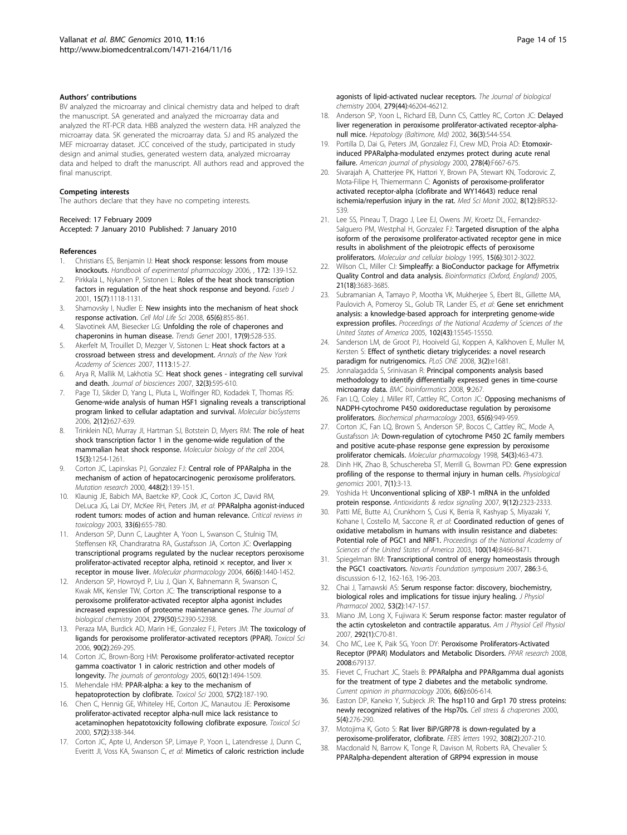#### <span id="page-13-0"></span>Authors' contributions

BV analyzed the microarray and clinical chemistry data and helped to draft the manuscript. SA generated and analyzed the microarray data and analyzed the RT-PCR data. HBB analyzed the western data. HR analyzed the microarray data. SK generated the microarray data. SJ and RS analyzed the MEF microarray dataset. JCC conceived of the study, participated in study design and animal studies, generated western data, analyzed microarray data and helped to draft the manuscript. All authors read and approved the final manuscript.

#### Competing interests

The authors declare that they have no competing interests.

#### Received: 17 February 2009

#### Accepted: 7 January 2010 Published: 7 January 2010

#### References

- Christians ES, Benjamin IJ: [Heat shock response: lessons from mouse](http://www.ncbi.nlm.nih.gov/pubmed/16610358?dopt=Abstract) [knockouts.](http://www.ncbi.nlm.nih.gov/pubmed/16610358?dopt=Abstract) Handbook of experimental pharmacology 2006, , 172: 139-152.
- 2. Pirkkala L, Nykanen P, Sistonen L: [Roles of the heat shock transcription](http://www.ncbi.nlm.nih.gov/pubmed/11344080?dopt=Abstract) [factors in regulation of the heat shock response and beyond.](http://www.ncbi.nlm.nih.gov/pubmed/11344080?dopt=Abstract) Faseb J 2001, 15(7):1118-1131.
- 3. Shamovsky I, Nudler E: [New insights into the mechanism of heat shock](http://www.ncbi.nlm.nih.gov/pubmed/18239856?dopt=Abstract) [response activation.](http://www.ncbi.nlm.nih.gov/pubmed/18239856?dopt=Abstract) Cell Mol Life Sci 2008, 65(6):855-861.
- 4. Slavotinek AM, Biesecker LG: [Unfolding the role of chaperones and](http://www.ncbi.nlm.nih.gov/pubmed/11525836?dopt=Abstract) [chaperonins in human disease.](http://www.ncbi.nlm.nih.gov/pubmed/11525836?dopt=Abstract) Trends Genet 2001, 17(9):528-535.
- 5. Akerfelt M, Trouillet D, Mezger V, Sistonen L: [Heat shock factors at a](http://www.ncbi.nlm.nih.gov/pubmed/17483205?dopt=Abstract) [crossroad between stress and development.](http://www.ncbi.nlm.nih.gov/pubmed/17483205?dopt=Abstract) Annals of the New York Academy of Sciences 2007, 1113:15-27.
- 6. Arya R, Mallik M, Lakhotia SC: [Heat shock genes integrating cell survival](http://www.ncbi.nlm.nih.gov/pubmed/17536179?dopt=Abstract) [and death.](http://www.ncbi.nlm.nih.gov/pubmed/17536179?dopt=Abstract) Journal of biosciences 2007, 32(3):595-610.
- 7. Page TJ, Sikder D, Yang L, Pluta L, Wolfinger RD, Kodadek T, Thomas RS: [Genome-wide analysis of human HSF1 signaling reveals a transcriptional](http://www.ncbi.nlm.nih.gov/pubmed/17216044?dopt=Abstract) [program linked to cellular adaptation and survival.](http://www.ncbi.nlm.nih.gov/pubmed/17216044?dopt=Abstract) Molecular bioSystems 2006, 2(12):627-639.
- Trinklein ND, Murray Jl, Hartman SJ, Botstein D, Myers RM: [The role of heat](http://www.ncbi.nlm.nih.gov/pubmed/14668476?dopt=Abstract) [shock transcription factor 1 in the genome-wide regulation of the](http://www.ncbi.nlm.nih.gov/pubmed/14668476?dopt=Abstract) [mammalian heat shock response.](http://www.ncbi.nlm.nih.gov/pubmed/14668476?dopt=Abstract) Molecular biology of the cell 2004, 15(3):1254-1261.
- 9. Corton JC, Lapinskas PJ, Gonzalez FJ: [Central role of PPARalpha in the](http://www.ncbi.nlm.nih.gov/pubmed/10725468?dopt=Abstract) [mechanism of action of hepatocarcinogenic peroxisome proliferators.](http://www.ncbi.nlm.nih.gov/pubmed/10725468?dopt=Abstract) Mutation research 2000, 448(2):139-151.
- 10. Klaunig JE, Babich MA, Baetcke KP, Cook JC, Corton JC, David RM, DeLuca JG, Lai DY, McKee RH, Peters JM, et al: [PPARalpha agonist-induced](http://www.ncbi.nlm.nih.gov/pubmed/14727734?dopt=Abstract) [rodent tumors: modes of action and human relevance.](http://www.ncbi.nlm.nih.gov/pubmed/14727734?dopt=Abstract) Critical reviews in toxicology 2003, 33(6):655-780.
- 11. Anderson SP, Dunn C, Laughter A, Yoon L, Swanson C, Stulnig TM, Steffensen KR, Chandraratna RA, Gustafsson JA, Corton JC: [Overlapping](http://www.ncbi.nlm.nih.gov/pubmed/15371561?dopt=Abstract) [transcriptional programs regulated by the nuclear receptors peroxisome](http://www.ncbi.nlm.nih.gov/pubmed/15371561?dopt=Abstract) proliferator-activated receptor alpha, retinoid  $\times$  receptor, and liver  $\times$ [receptor in mouse liver.](http://www.ncbi.nlm.nih.gov/pubmed/15371561?dopt=Abstract) Molecular pharmacology 2004, 66(6):1440-1452.
- 12. Anderson SP, Howroyd P, Liu J, Qian X, Bahnemann R, Swanson C, Kwak MK, Kensler TW, Corton JC: [The transcriptional response to a](http://www.ncbi.nlm.nih.gov/pubmed/15375163?dopt=Abstract) [peroxisome proliferator-activated receptor alpha agonist includes](http://www.ncbi.nlm.nih.gov/pubmed/15375163?dopt=Abstract) [increased expression of proteome maintenance genes.](http://www.ncbi.nlm.nih.gov/pubmed/15375163?dopt=Abstract) The Journal of biological chemistry 2004, 279(50):52390-52398.
- 13. Peraza MA, Burdick AD, Marin HE, Gonzalez FJ, Peters JM: [The toxicology of](http://www.ncbi.nlm.nih.gov/pubmed/16322072?dopt=Abstract) [ligands for peroxisome proliferator-activated receptors \(PPAR\).](http://www.ncbi.nlm.nih.gov/pubmed/16322072?dopt=Abstract) Toxicol Sci 2006, 90(2):269-295.
- 14. Corton JC, Brown-Borg HM: [Peroxisome proliferator-activated receptor](http://www.ncbi.nlm.nih.gov/pubmed/16424281?dopt=Abstract) [gamma coactivator 1 in caloric restriction and other models of](http://www.ncbi.nlm.nih.gov/pubmed/16424281?dopt=Abstract) [longevity.](http://www.ncbi.nlm.nih.gov/pubmed/16424281?dopt=Abstract) The journals of gerontology 2005, 60(12):1494-1509.
- 15. Mehendale HM: [PPAR-alpha: a key to the mechanism of](http://www.ncbi.nlm.nih.gov/pubmed/11006348?dopt=Abstract) [hepatoprotection by clofibrate.](http://www.ncbi.nlm.nih.gov/pubmed/11006348?dopt=Abstract) Toxicol Sci 2000, 57(2):187-190.
- 16. Chen C, Hennig GE, Whiteley HE, Corton JC, Manautou JE: [Peroxisome](http://www.ncbi.nlm.nih.gov/pubmed/11006363?dopt=Abstract) [proliferator-activated receptor alpha-null mice lack resistance to](http://www.ncbi.nlm.nih.gov/pubmed/11006363?dopt=Abstract) [acetaminophen hepatotoxicity following clofibrate exposure.](http://www.ncbi.nlm.nih.gov/pubmed/11006363?dopt=Abstract) Toxicol Sci 2000, 57(2):338-344.
- 17. Corton JC, Apte U, Anderson SP, Limaye P, Yoon L, Latendresse J, Dunn C, Everitt JI, Voss KA, Swanson C, et al: [Mimetics of caloric restriction include](http://www.ncbi.nlm.nih.gov/pubmed/15302862?dopt=Abstract)

[agonists of lipid-activated nuclear receptors.](http://www.ncbi.nlm.nih.gov/pubmed/15302862?dopt=Abstract) The Journal of biological chemistry 2004, 279(44):46204-46212.

- 18. Anderson SP, Yoon L, Richard EB, Dunn CS, Cattley RC, Corton JC: [Delayed](http://www.ncbi.nlm.nih.gov/pubmed/12198646?dopt=Abstract) [liver regeneration in peroxisome proliferator-activated receptor-alpha](http://www.ncbi.nlm.nih.gov/pubmed/12198646?dopt=Abstract)[null mice.](http://www.ncbi.nlm.nih.gov/pubmed/12198646?dopt=Abstract) Hepatology (Baltimore, Md) 2002, 36(3):544-554.
- 19. Portilla D, Dai G, Peters JM, Gonzalez FJ, Crew MD, Proia AD: [Etomoxir](http://www.ncbi.nlm.nih.gov/pubmed/10751229?dopt=Abstract)[induced PPARalpha-modulated enzymes protect during acute renal](http://www.ncbi.nlm.nih.gov/pubmed/10751229?dopt=Abstract) [failure.](http://www.ncbi.nlm.nih.gov/pubmed/10751229?dopt=Abstract) American journal of physiology 2000, 278(4):F667-675.
- Sivarajah A, Chatterjee PK, Hattori Y, Brown PA, Stewart KN, Todorovic Z, Mota-Filipe H, Thiemermann C: [Agonists of peroxisome-proliferator](http://www.ncbi.nlm.nih.gov/pubmed/12503032?dopt=Abstract) [activated receptor-alpha \(clofibrate and WY14643\) reduce renal](http://www.ncbi.nlm.nih.gov/pubmed/12503032?dopt=Abstract) [ischemia/reperfusion injury in the rat.](http://www.ncbi.nlm.nih.gov/pubmed/12503032?dopt=Abstract) Med Sci Monit 2002, 8(12):BR532- 539.
- 21. Lee SS, Pineau T, Drago J, Lee EJ, Owens JW, Kroetz DL, Fernandez-Salguero PM, Westphal H, Gonzalez FJ: [Targeted disruption of the alpha](http://www.ncbi.nlm.nih.gov/pubmed/7539101?dopt=Abstract) [isoform of the peroxisome proliferator-activated receptor gene in mice](http://www.ncbi.nlm.nih.gov/pubmed/7539101?dopt=Abstract) [results in abolishment of the pleiotropic effects of peroxisome](http://www.ncbi.nlm.nih.gov/pubmed/7539101?dopt=Abstract) [proliferators.](http://www.ncbi.nlm.nih.gov/pubmed/7539101?dopt=Abstract) Molecular and cellular biology 1995, 15(6):3012-3022.
- 22. Wilson CL, Miller CJ: [Simpleaffy: a BioConductor package for Affymetrix](http://www.ncbi.nlm.nih.gov/pubmed/16076888?dopt=Abstract) [Quality Control and data analysis.](http://www.ncbi.nlm.nih.gov/pubmed/16076888?dopt=Abstract) Bioinformatics (Oxford, England) 2005, 21(18):3683-3685.
- Subramanian A, Tamayo P, Mootha VK, Mukherjee S, Ebert BL, Gillette MA, Paulovich A, Pomeroy SL, Golub TR, Lander ES, et al: [Gene set enrichment](http://www.ncbi.nlm.nih.gov/pubmed/16199517?dopt=Abstract) [analysis: a knowledge-based approach for interpreting genome-wide](http://www.ncbi.nlm.nih.gov/pubmed/16199517?dopt=Abstract) [expression profiles.](http://www.ncbi.nlm.nih.gov/pubmed/16199517?dopt=Abstract) Proceedings of the National Academy of Sciences of the United States of America 2005, 102(43):15545-15550.
- 24. Sanderson LM, de Groot PJ, Hooiveld GJ, Koppen A, Kalkhoven E, Muller M, Kersten S: [Effect of synthetic dietary triglycerides: a novel research](http://www.ncbi.nlm.nih.gov/pubmed/18301758?dopt=Abstract) [paradigm for nutrigenomics.](http://www.ncbi.nlm.nih.gov/pubmed/18301758?dopt=Abstract) PLoS ONE 2008, 3(2):e1681
- 25. Jonnalagadda S, Srinivasan R: [Principal components analysis based](http://www.ncbi.nlm.nih.gov/pubmed/18534040?dopt=Abstract) [methodology to identify differentially expressed genes in time-course](http://www.ncbi.nlm.nih.gov/pubmed/18534040?dopt=Abstract) [microarray data.](http://www.ncbi.nlm.nih.gov/pubmed/18534040?dopt=Abstract) BMC bioinformatics 2008, 9:267
- 26. Fan LQ, Coley J, Miller RT, Cattley RC, Corton JC: [Opposing mechanisms of](http://www.ncbi.nlm.nih.gov/pubmed/12623126?dopt=Abstract) [NADPH-cytochrome P450 oxidoreductase regulation by peroxisome](http://www.ncbi.nlm.nih.gov/pubmed/12623126?dopt=Abstract) [proliferators.](http://www.ncbi.nlm.nih.gov/pubmed/12623126?dopt=Abstract) Biochemical pharmacology 2003, 65(6):949-959.
- 27. Corton JC, Fan LQ, Brown S, Anderson SP, Bocos C, Cattley RC, Mode A, Gustafsson JA: [Down-regulation of cytochrome P450 2C family members](http://www.ncbi.nlm.nih.gov/pubmed/9730905?dopt=Abstract) [and positive acute-phase response gene expression by peroxisome](http://www.ncbi.nlm.nih.gov/pubmed/9730905?dopt=Abstract) [proliferator chemicals.](http://www.ncbi.nlm.nih.gov/pubmed/9730905?dopt=Abstract) Molecular pharmacology 1998, 54(3):463-473.
- 28. Dinh HK, Zhao B, Schuschereba ST, Merrill G, Bowman PD: [Gene expression](http://www.ncbi.nlm.nih.gov/pubmed/11595787?dopt=Abstract) [profiling of the response to thermal injury in human cells.](http://www.ncbi.nlm.nih.gov/pubmed/11595787?dopt=Abstract) Physiological genomics 2001, 7(1):3-13.
- 29. Yoshida H: Unconventional splicing of XBP-1 mRNA in the unfolded protein response. Antioxidants & redox signaling 2007, 9(12):2323-2333.
- 30. Patti ME, Butte AJ, Crunkhorn S, Cusi K, Berria R, Kashyap S, Miyazaki Y, Kohane I, Costello M, Saccone R, et al: [Coordinated reduction of genes of](http://www.ncbi.nlm.nih.gov/pubmed/12832613?dopt=Abstract) [oxidative metabolism in humans with insulin resistance and diabetes:](http://www.ncbi.nlm.nih.gov/pubmed/12832613?dopt=Abstract) [Potential role of PGC1 and NRF1.](http://www.ncbi.nlm.nih.gov/pubmed/12832613?dopt=Abstract) Proceedings of the National Academy of Sciences of the United States of America 2003, 100(14):8466-8471.
- 31. Spiegelman BM: [Transcriptional control of energy homeostasis through](http://www.ncbi.nlm.nih.gov/pubmed/18269170?dopt=Abstract) [the PGC1 coactivators.](http://www.ncbi.nlm.nih.gov/pubmed/18269170?dopt=Abstract) Novartis Foundation symposium 2007, 286:3-6, discusssion 6-12, 162-163, 196-203.
- 32. Chai J, Tarnawski AS: [Serum response factor: discovery, biochemistry,](http://www.ncbi.nlm.nih.gov/pubmed/12120892?dopt=Abstract) [biological roles and implications for tissue injury healing.](http://www.ncbi.nlm.nih.gov/pubmed/12120892?dopt=Abstract) J Physiol Pharmacol 2002, 53(2):147-157.
- 33. Miano JM, Long X, Fujiwara K: [Serum response factor: master regulator of](http://www.ncbi.nlm.nih.gov/pubmed/16928770?dopt=Abstract) [the actin cytoskeleton and contractile apparatus.](http://www.ncbi.nlm.nih.gov/pubmed/16928770?dopt=Abstract) Am J Physiol Cell Physiol 2007, 292(1):C70-81.
- 34. Cho MC, Lee K, Paik SG, Yoon DY: [Peroxisome Proliferators-Activated](http://www.ncbi.nlm.nih.gov/pubmed/18566691?dopt=Abstract) [Receptor \(PPAR\) Modulators and Metabolic Disorders.](http://www.ncbi.nlm.nih.gov/pubmed/18566691?dopt=Abstract) PPAR research 2008, 2008:679137.
- 35. Fievet C, Fruchart JC, Staels B: [PPARalpha and PPARgamma dual agonists](http://www.ncbi.nlm.nih.gov/pubmed/16973418?dopt=Abstract) [for the treatment of type 2 diabetes and the metabolic syndrome.](http://www.ncbi.nlm.nih.gov/pubmed/16973418?dopt=Abstract) Current opinion in pharmacology 2006, 6(6):606-614.
- 36. Easton DP, Kaneko Y, Subjeck JR: The hsp110 and Grp1 70 stress proteins: newly recognized relatives of the Hsp70s. Cell stress & chaperones 2000, 5(4):276-290.
- 37. Motojima K, Goto S: [Rat liver BiP/GRP78 is down-regulated by a](http://www.ncbi.nlm.nih.gov/pubmed/1499732?dopt=Abstract) [peroxisome-proliferator, clofibrate.](http://www.ncbi.nlm.nih.gov/pubmed/1499732?dopt=Abstract) FEBS letters 1992, 308(2):207-210.
- 38. Macdonald N, Barrow K, Tonge R, Davison M, Roberts RA, Chevalier S: [PPARalpha-dependent alteration of GRP94 expression in mouse](http://www.ncbi.nlm.nih.gov/pubmed/11062016?dopt=Abstract)